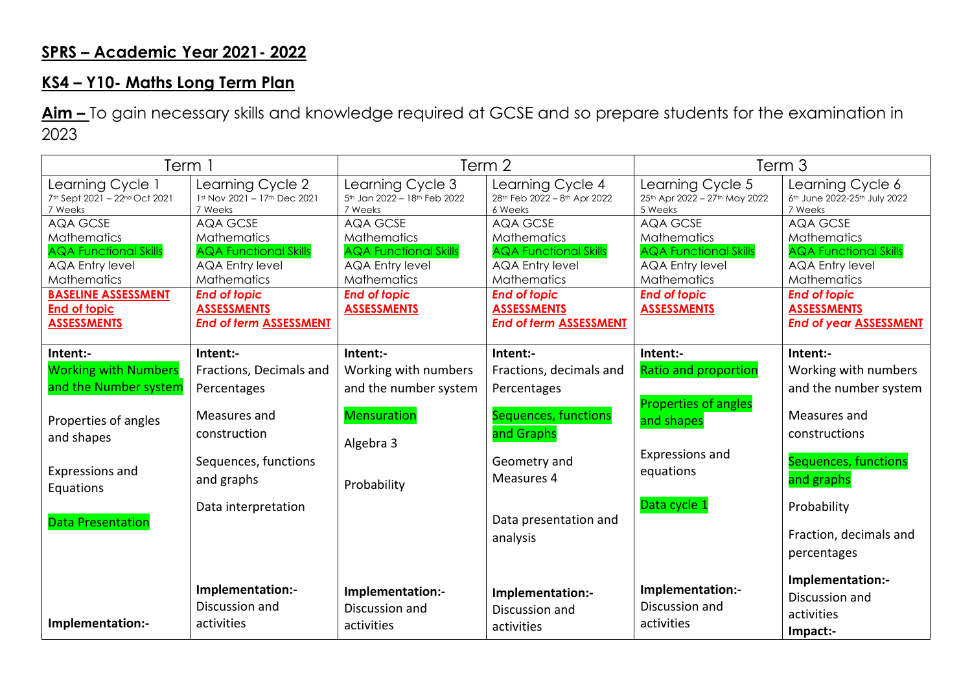## **SPRS – Academic Year 2021- 2022**

## **KS4 – Y10- Maths Long Term Plan**

**Aim –** To gain necessary skills and knowledge required at GCSE and so prepare students for the examination in 2023

| Term 1                                                                                                                                                                                           |                                                                                                                                                                                | Term 2                                                                                                                                               |                                                                                                                                                                                       | Term 3                                                                                                                                               |                                                                                                                                                                                              |
|--------------------------------------------------------------------------------------------------------------------------------------------------------------------------------------------------|--------------------------------------------------------------------------------------------------------------------------------------------------------------------------------|------------------------------------------------------------------------------------------------------------------------------------------------------|---------------------------------------------------------------------------------------------------------------------------------------------------------------------------------------|------------------------------------------------------------------------------------------------------------------------------------------------------|----------------------------------------------------------------------------------------------------------------------------------------------------------------------------------------------|
| Learning Cycle 1<br>7th Sept 2021 - 22nd Oct 2021<br>7 Weeks                                                                                                                                     | Learning Cycle 2<br>1st Nov 2021 - 17th Dec 2021<br>7 Weeks                                                                                                                    | Learning Cycle 3<br>5th Jan 2022 - 18th Feb 2022<br>7 Weeks                                                                                          | Learning Cycle 4<br>28th Feb 2022 - 8th Apr 2022<br>6 Weeks                                                                                                                           | Learning Cycle 5<br>25th Apr 2022 - 27th May 2022<br>5 Weeks                                                                                         | Learning Cycle 6<br>6th June 2022-25th July 2022<br>7 Weeks                                                                                                                                  |
| <b>AQA GCSE</b><br><b>Mathematics</b><br><b>AQA Functional Skills</b><br><b>AQA Entry level</b><br><b>Mathematics</b><br><b>BASELINE ASSESSMENT</b><br><b>End of topic</b><br><b>ASSESSMENTS</b> | AQA GCSE<br>Mathematics<br><b>AQA Functional Skills</b><br><b>AQA Entry level</b><br>Mathematics<br><b>End of topic</b><br><b>ASSESSMENTS</b><br><b>End of term ASSESSMENT</b> | AQA GCSE<br>Mathematics<br><b>AQA Functional Skills</b><br><b>AQA Entry level</b><br><b>Mathematics</b><br><b>End of topic</b><br><b>ASSESSMENTS</b> | AQA GCSE<br><b>Mathematics</b><br><b>AQA Functional Skills</b><br><b>AQA Entry level</b><br>Mathematics<br><b>End of topic</b><br><b>ASSESSMENTS</b><br><b>End of term ASSESSMENT</b> | AQA GCSE<br><b>Mathematics</b><br><b>AQA Functional Skills</b><br><b>AQA Entry level</b><br>Mathematics<br><b>End of topic</b><br><b>ASSESSMENTS</b> | <b>AQA GCSE</b><br><b>Mathematics</b><br><b>AQA Functional Skills</b><br><b>AQA Entry level</b><br>Mathematics<br><b>End of topic</b><br><b>ASSESSMENTS</b><br><b>End of year ASSESSMENT</b> |
| Intent:-<br><b>Working with Numbers</b><br>and the Number system<br>Properties of angles<br>and shapes                                                                                           | Intent:-<br>Fractions, Decimals and<br>Percentages<br>Measures and<br>construction                                                                                             | Intent:-<br>Working with numbers<br>and the number system<br><b>Mensuration</b><br>Algebra 3                                                         | Intent:-<br>Fractions, decimals and<br>Percentages<br>Sequences, functions<br>and Graphs                                                                                              | Intent:-<br><b>Ratio and proportion</b><br>Properties of angles<br>and shapes                                                                        | Intent:-<br>Working with numbers<br>and the number system<br>Measures and<br>constructions                                                                                                   |
| Expressions and<br>Equations                                                                                                                                                                     | Sequences, functions<br>and graphs                                                                                                                                             | Probability                                                                                                                                          | Geometry and<br>Measures 4                                                                                                                                                            | Expressions and<br>equations                                                                                                                         | Sequences, functions<br>and graphs                                                                                                                                                           |
| <b>Data Presentation</b>                                                                                                                                                                         | Data interpretation                                                                                                                                                            |                                                                                                                                                      | Data presentation and<br>analysis                                                                                                                                                     | Data cycle 1                                                                                                                                         | Probability<br>Fraction, decimals and<br>percentages                                                                                                                                         |
| Implementation:-                                                                                                                                                                                 | Implementation:-<br>Discussion and<br>activities                                                                                                                               | Implementation:-<br>Discussion and<br>activities                                                                                                     | Implementation:-<br>Discussion and<br>activities                                                                                                                                      | Implementation:-<br>Discussion and<br>activities                                                                                                     | Implementation:-<br>Discussion and<br>activities<br>Impact:-                                                                                                                                 |